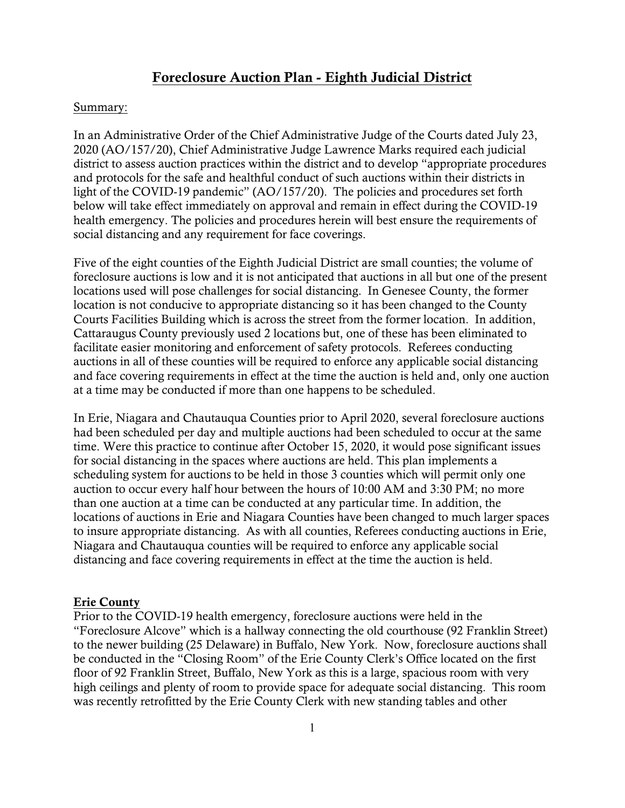## **Foreclosure Auction Plan - Eighth Judicial District**

#### Summary:

In an Administrative Order of the Chief Administrative Judge of the Courts dated July 23, 2020 (AO/157/20), Chief Administrative Judge Lawrence Marks required each judicial district to assess auction practices within the district and to develop "appropriate procedures and protocols for the safe and healthful conduct of such auctions within their districts in light of the COVID-19 pandemic" (AO/157/20). The policies and procedures set forth below will take effect immediately on approval and remain in effect during the COVID-19 health emergency. The policies and procedures herein will best ensure the requirements of social distancing and any requirement for face coverings.

Five of the eight counties of the Eighth Judicial District are small counties; the volume of foreclosure auctions is low and it is not anticipated that auctions in all but one of the present locations used will pose challenges for social distancing. In Genesee County, the former location is not conducive to appropriate distancing so it has been changed to the County Courts Facilities Building which is across the street from the former location. In addition, Cattaraugus County previously used 2 locations but, one of these has been eliminated to facilitate easier monitoring and enforcement of safety protocols. Referees conducting auctions in all of these counties will be required to enforce any applicable social distancing and face covering requirements in effect at the time the auction is held and, only one auction at a time may be conducted if more than one happens to be scheduled.

In Erie, Niagara and Chautauqua Counties prior to April 2020, several foreclosure auctions had been scheduled per day and multiple auctions had been scheduled to occur at the same time. Were this practice to continue after October 15, 2020, it would pose significant issues for social distancing in the spaces where auctions are held. This plan implements a scheduling system for auctions to be held in those 3 counties which will permit only one auction to occur every half hour between the hours of 10:00 AM and 3:30 PM; no more than one auction at a time can be conducted at any particular time. In addition, the locations of auctions in Erie and Niagara Counties have been changed to much larger spaces to insure appropriate distancing. As with all counties, Referees conducting auctions in Erie, Niagara and Chautauqua counties will be required to enforce any applicable social distancing and face covering requirements in effect at the time the auction is held.

#### **Erie County**

Prior to the COVID-19 health emergency, foreclosure auctions were held in the "Foreclosure Alcove" which is a hallway connecting the old courthouse (92 Franklin Street) to the newer building (25 Delaware) in Buffalo, New York. Now, foreclosure auctions shall be conducted in the "Closing Room" of the Erie County Clerk's Office located on the first floor of 92 Franklin Street, Buffalo, New York as this is a large, spacious room with very high ceilings and plenty of room to provide space for adequate social distancing. This room was recently retrofitted by the Erie County Clerk with new standing tables and other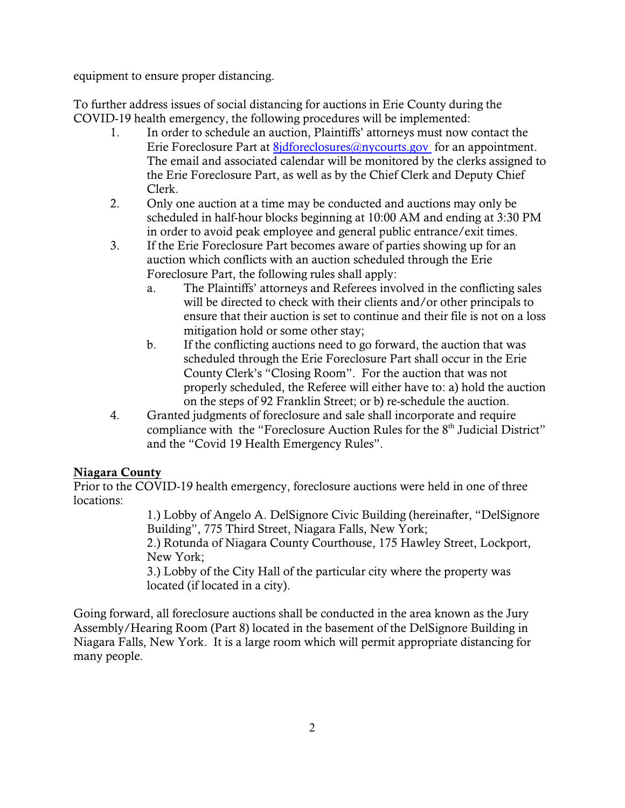equipment to ensure proper distancing.

To further address issues of social distancing for auctions in Erie County during the COVID-19 health emergency, the following procedures will be implemented:

- 1. In order to schedule an auction, Plaintiffs' attorneys must now contact the Erie Foreclosure Part at 8*jdforeclosures@nycourts.gov* for an appointment. The email and associated calendar will be monitored by the clerks assigned to the Erie Foreclosure Part, as well as by the Chief Clerk and Deputy Chief Clerk.
- 2. Only one auction at a time may be conducted and auctions may only be scheduled in half-hour blocks beginning at 10:00 AM and ending at 3:30 PM in order to avoid peak employee and general public entrance/exit times.
- 3. If the Erie Foreclosure Part becomes aware of parties showing up for an auction which conflicts with an auction scheduled through the Erie Foreclosure Part, the following rules shall apply:
	- a. The Plaintiffs' attorneys and Referees involved in the conflicting sales will be directed to check with their clients and/or other principals to ensure that their auction is set to continue and their file is not on a loss mitigation hold or some other stay;
	- b. If the conflicting auctions need to go forward, the auction that was scheduled through the Erie Foreclosure Part shall occur in the Erie County Clerk's "Closing Room". For the auction that was not properly scheduled, the Referee will either have to: a) hold the auction on the steps of 92 Franklin Street; or b) re-schedule the auction.
- 4. Granted judgments of foreclosure and sale shall incorporate and require compliance with the "Foreclosure Auction Rules for the 8<sup>th</sup> Judicial District" and the "Covid 19 Health Emergency Rules".

## **Niagara County**

Prior to the COVID-19 health emergency, foreclosure auctions were held in one of three locations:

1.) Lobby of Angelo A. DelSignore Civic Building (hereinafter, "DelSignore Building", 775 Third Street, Niagara Falls, New York;

2.) Rotunda of Niagara County Courthouse, 175 Hawley Street, Lockport, New York;

3.) Lobby of the City Hall of the particular city where the property was located (if located in a city).

Going forward, all foreclosure auctions shall be conducted in the area known as the Jury Assembly/Hearing Room (Part 8) located in the basement of the DelSignore Building in Niagara Falls, New York. It is a large room which will permit appropriate distancing for many people.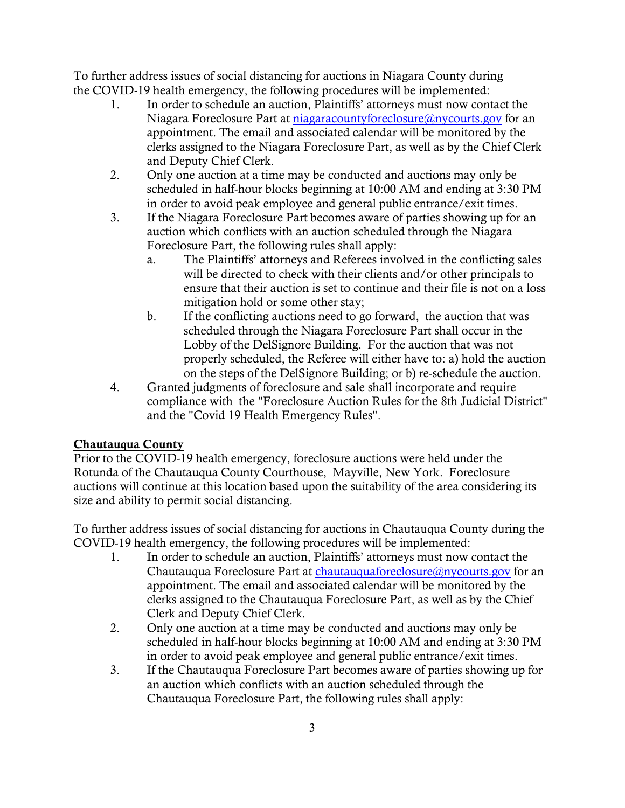To further address issues of social distancing for auctions in Niagara County during the COVID-19 health emergency, the following procedures will be implemented:

- 1. In order to schedule an auction, Plaintiffs' attorneys must now contact the Niagara Foreclosure Part at [niagaracountyforeclosure@nycourts.gov](mailto:monroeforeclosure@nycourts.gov.) for an appointment. The email and associated calendar will be monitored by the clerks assigned to the Niagara Foreclosure Part, as well as by the Chief Clerk and Deputy Chief Clerk.
- 2. Only one auction at a time may be conducted and auctions may only be scheduled in half-hour blocks beginning at 10:00 AM and ending at 3:30 PM in order to avoid peak employee and general public entrance/exit times.
- 3. If the Niagara Foreclosure Part becomes aware of parties showing up for an auction which conflicts with an auction scheduled through the Niagara Foreclosure Part, the following rules shall apply:
	- a. The Plaintiffs' attorneys and Referees involved in the conflicting sales will be directed to check with their clients and/or other principals to ensure that their auction is set to continue and their file is not on a loss mitigation hold or some other stay;
	- b. If the conflicting auctions need to go forward, the auction that was scheduled through the Niagara Foreclosure Part shall occur in the Lobby of the DelSignore Building. For the auction that was not properly scheduled, the Referee will either have to: a) hold the auction on the steps of the DelSignore Building; or b) re-schedule the auction.
- 4. Granted judgments of foreclosure and sale shall incorporate and require compliance with the "Foreclosure Auction Rules for the 8th Judicial District" and the "Covid 19 Health Emergency Rules".

# **Chautauqua County**

Prior to the COVID-19 health emergency, foreclosure auctions were held under the Rotunda of the Chautauqua County Courthouse, Mayville, New York. Foreclosure auctions will continue at this location based upon the suitability of the area considering its size and ability to permit social distancing.

To further address issues of social distancing for auctions in Chautauqua County during the COVID-19 health emergency, the following procedures will be implemented:

- 1. In order to schedule an auction, Plaintiffs' attorneys must now contact the Chautauqua Foreclosure Part at [chautauquaforeclosure@nycourts.gov](mailto:monroeforeclosure@nycourts.gov.) for an appointment. The email and associated calendar will be monitored by the clerks assigned to the Chautauqua Foreclosure Part, as well as by the Chief Clerk and Deputy Chief Clerk.
- 2. Only one auction at a time may be conducted and auctions may only be scheduled in half-hour blocks beginning at 10:00 AM and ending at 3:30 PM in order to avoid peak employee and general public entrance/exit times.
- 3. If the Chautauqua Foreclosure Part becomes aware of parties showing up for an auction which conflicts with an auction scheduled through the Chautauqua Foreclosure Part, the following rules shall apply: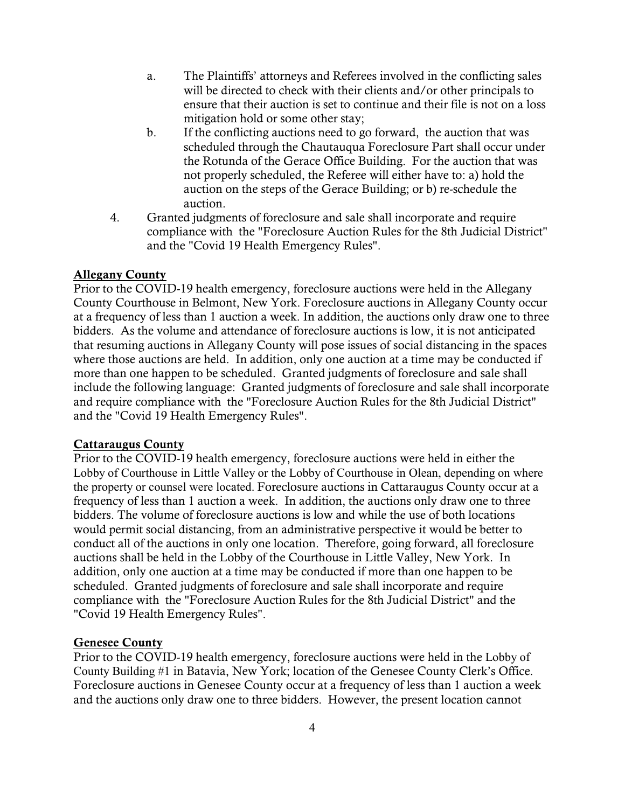- a. The Plaintiffs' attorneys and Referees involved in the conflicting sales will be directed to check with their clients and/or other principals to ensure that their auction is set to continue and their file is not on a loss mitigation hold or some other stay;
- b. If the conflicting auctions need to go forward, the auction that was scheduled through the Chautauqua Foreclosure Part shall occur under the Rotunda of the Gerace Office Building. For the auction that was not properly scheduled, the Referee will either have to: a) hold the auction on the steps of the Gerace Building; or b) re-schedule the auction.
- 4. Granted judgments of foreclosure and sale shall incorporate and require compliance with the "Foreclosure Auction Rules for the 8th Judicial District" and the "Covid 19 Health Emergency Rules".

### **Allegany County**

Prior to the COVID-19 health emergency, foreclosure auctions were held in the Allegany County Courthouse in Belmont, New York. Foreclosure auctions in Allegany County occur at a frequency of less than 1 auction a week. In addition, the auctions only draw one to three bidders. As the volume and attendance of foreclosure auctions is low, it is not anticipated that resuming auctions in Allegany County will pose issues of social distancing in the spaces where those auctions are held. In addition, only one auction at a time may be conducted if more than one happen to be scheduled. Granted judgments of foreclosure and sale shall include the following language: Granted judgments of foreclosure and sale shall incorporate and require compliance with the "Foreclosure Auction Rules for the 8th Judicial District" and the "Covid 19 Health Emergency Rules".

#### **Cattaraugus County**

Prior to the COVID-19 health emergency, foreclosure auctions were held in either the Lobby of Courthouse in Little Valley or the Lobby of Courthouse in Olean, depending on where the property or counsel were located. Foreclosure auctions in Cattaraugus County occur at a frequency of less than 1 auction a week. In addition, the auctions only draw one to three bidders. The volume of foreclosure auctions is low and while the use of both locations would permit social distancing, from an administrative perspective it would be better to conduct all of the auctions in only one location. Therefore, going forward, all foreclosure auctions shall be held in the Lobby of the Courthouse in Little Valley, New York. In addition, only one auction at a time may be conducted if more than one happen to be scheduled. Granted judgments of foreclosure and sale shall incorporate and require compliance with the "Foreclosure Auction Rules for the 8th Judicial District" and the "Covid 19 Health Emergency Rules".

## **Genesee County**

Prior to the COVID-19 health emergency, foreclosure auctions were held in the Lobby of County Building #1 in Batavia, New York; location of the Genesee County Clerk's Office. Foreclosure auctions in Genesee County occur at a frequency of less than 1 auction a week and the auctions only draw one to three bidders. However, the present location cannot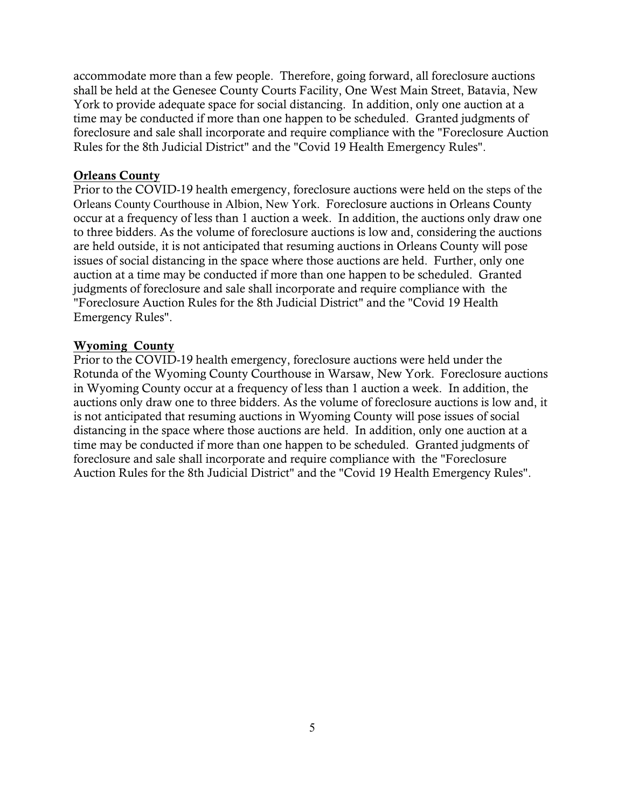accommodate more than a few people. Therefore, going forward, all foreclosure auctions shall be held at the Genesee County Courts Facility, One West Main Street, Batavia, New York to provide adequate space for social distancing. In addition, only one auction at a time may be conducted if more than one happen to be scheduled. Granted judgments of foreclosure and sale shall incorporate and require compliance with the "Foreclosure Auction Rules for the 8th Judicial District" and the "Covid 19 Health Emergency Rules".

#### **Orleans County**

Prior to the COVID-19 health emergency, foreclosure auctions were held on the steps of the Orleans County Courthouse in Albion, New York. Foreclosure auctions in Orleans County occur at a frequency of less than 1 auction a week. In addition, the auctions only draw one to three bidders. As the volume of foreclosure auctions is low and, considering the auctions are held outside, it is not anticipated that resuming auctions in Orleans County will pose issues of social distancing in the space where those auctions are held. Further, only one auction at a time may be conducted if more than one happen to be scheduled. Granted judgments of foreclosure and sale shall incorporate and require compliance with the "Foreclosure Auction Rules for the 8th Judicial District" and the "Covid 19 Health Emergency Rules".

#### **Wyoming County**

Prior to the COVID-19 health emergency, foreclosure auctions were held under the Rotunda of the Wyoming County Courthouse in Warsaw, New York. Foreclosure auctions in Wyoming County occur at a frequency of less than 1 auction a week. In addition, the auctions only draw one to three bidders. As the volume of foreclosure auctions is low and, it is not anticipated that resuming auctions in Wyoming County will pose issues of social distancing in the space where those auctions are held. In addition, only one auction at a time may be conducted if more than one happen to be scheduled. Granted judgments of foreclosure and sale shall incorporate and require compliance with the "Foreclosure Auction Rules for the 8th Judicial District" and the "Covid 19 Health Emergency Rules".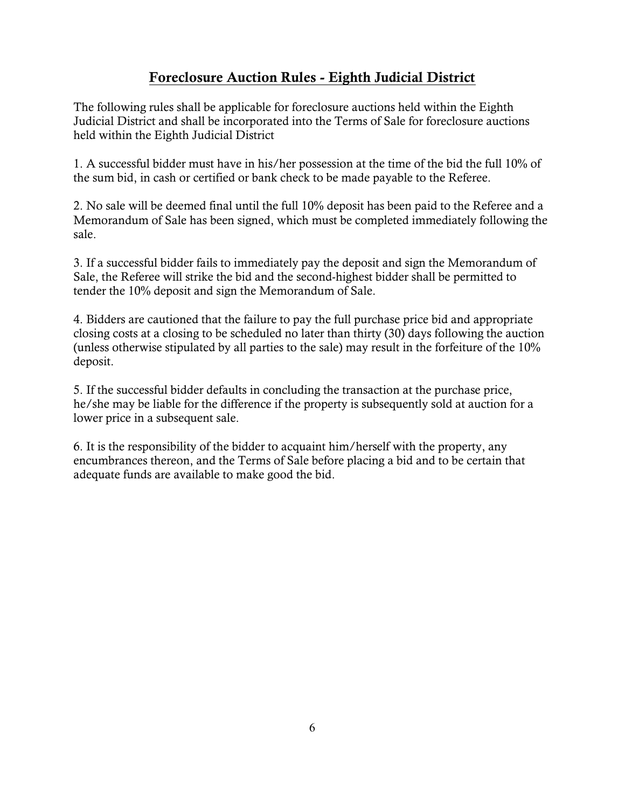# **Foreclosure Auction Rules - Eighth Judicial District**

The following rules shall be applicable for foreclosure auctions held within the Eighth Judicial District and shall be incorporated into the Terms of Sale for foreclosure auctions held within the Eighth Judicial District

1. A successful bidder must have in his/her possession at the time of the bid the full 10% of the sum bid, in cash or certified or bank check to be made payable to the Referee.

2. No sale will be deemed final until the full 10% deposit has been paid to the Referee and a Memorandum of Sale has been signed, which must be completed immediately following the sale.

3. If a successful bidder fails to immediately pay the deposit and sign the Memorandum of Sale, the Referee will strike the bid and the second-highest bidder shall be permitted to tender the 10% deposit and sign the Memorandum of Sale.

4. Bidders are cautioned that the failure to pay the full purchase price bid and appropriate closing costs at a closing to be scheduled no later than thirty (30) days following the auction (unless otherwise stipulated by all parties to the sale) may result in the forfeiture of the 10% deposit.

5. If the successful bidder defaults in concluding the transaction at the purchase price, he/she may be liable for the difference if the property is subsequently sold at auction for a lower price in a subsequent sale.

6. It is the responsibility of the bidder to acquaint him/herself with the property, any encumbrances thereon, and the Terms of Sale before placing a bid and to be certain that adequate funds are available to make good the bid.